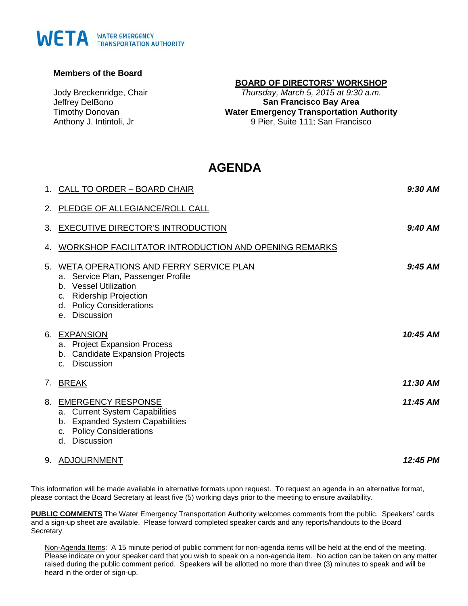## WETA WATER EMERGENCY

## **Members of the Board**

Jody Breckenridge, Chair Jeffrey DelBono Timothy Donovan Anthony J. Intintoli, Jr

## **BOARD OF DIRECTORS' WORKSHOP**

*Thursday, March 5, 2015 at 9:30 a.m.* **San Francisco Bay Area Water Emergency Transportation Authority** 9 Pier, Suite 111; San Francisco

## **AGENDA**

|    | 1. CALL TO ORDER - BOARD CHAIR                                                                                                                                                | $9:30$ AM |
|----|-------------------------------------------------------------------------------------------------------------------------------------------------------------------------------|-----------|
|    | 2. PLEDGE OF ALLEGIANCE/ROLL CALL                                                                                                                                             |           |
|    | 3. EXECUTIVE DIRECTOR'S INTRODUCTION                                                                                                                                          | 9:40 AM   |
| 4. | WORKSHOP FACILITATOR INTRODUCTION AND OPENING REMARKS                                                                                                                         |           |
| 5. | WETA OPERATIONS AND FERRY SERVICE PLAN<br>a. Service Plan, Passenger Profile<br>b. Vessel Utilization<br>c. Ridership Projection<br>d. Policy Considerations<br>e. Discussion | $9:45$ AM |
|    | 6. EXPANSION<br>a. Project Expansion Process<br>b. Candidate Expansion Projects<br>c. Discussion                                                                              | 10:45 AM  |
| 7. | <b>BREAK</b>                                                                                                                                                                  | 11:30 AM  |
|    | 8. EMERGENCY RESPONSE<br>a. Current System Capabilities<br>b. Expanded System Capabilities<br>c. Policy Considerations<br><b>Discussion</b><br>d.                             | 11:45 AM  |
|    | 9. ADJOURNMENT                                                                                                                                                                | 12:45 PM  |

This information will be made available in alternative formats upon request. To request an agenda in an alternative format, please contact the Board Secretary at least five (5) working days prior to the meeting to ensure availability.

**PUBLIC COMMENTS** The Water Emergency Transportation Authority welcomes comments from the public. Speakers' cards and a sign-up sheet are available. Please forward completed speaker cards and any reports/handouts to the Board Secretary.

Non-Agenda Items: A 15 minute period of public comment for non-agenda items will be held at the end of the meeting. Please indicate on your speaker card that you wish to speak on a non-agenda item. No action can be taken on any matter raised during the public comment period. Speakers will be allotted no more than three (3) minutes to speak and will be heard in the order of sign-up.